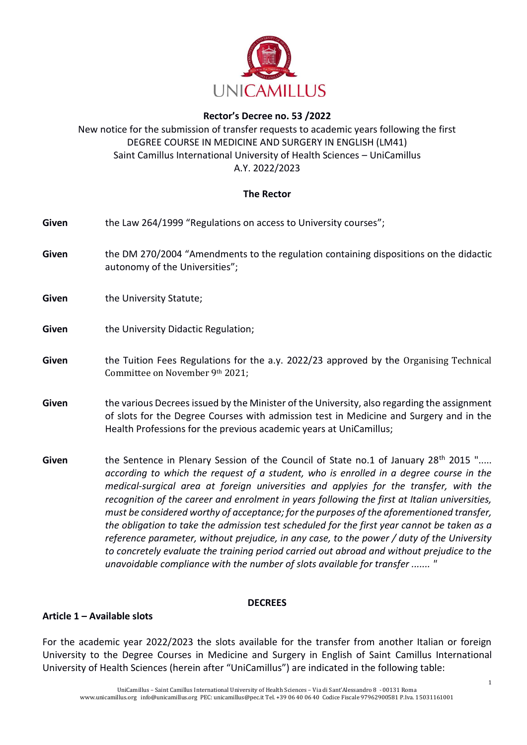

# **Rector's Decree no. 53 /2022**

# New notice for the submission of transfer requests to academic years following the first DEGREE COURSE IN MEDICINE AND SURGERY IN ENGLISH (LM41) Saint Camillus International University of Health Sciences – UniCamillus A.Y. 2022/2023

## **The Rector**

| Given | the Law 264/1999 "Regulations on access to University courses";                                                                                                                                                                                                                                                                                                                                                                                                                                                                                                                                                                                                                                                                                                             |  |
|-------|-----------------------------------------------------------------------------------------------------------------------------------------------------------------------------------------------------------------------------------------------------------------------------------------------------------------------------------------------------------------------------------------------------------------------------------------------------------------------------------------------------------------------------------------------------------------------------------------------------------------------------------------------------------------------------------------------------------------------------------------------------------------------------|--|
| Given | the DM 270/2004 "Amendments to the regulation containing dispositions on the didactic<br>autonomy of the Universities";                                                                                                                                                                                                                                                                                                                                                                                                                                                                                                                                                                                                                                                     |  |
| Given | the University Statute;                                                                                                                                                                                                                                                                                                                                                                                                                                                                                                                                                                                                                                                                                                                                                     |  |
| Given | the University Didactic Regulation;                                                                                                                                                                                                                                                                                                                                                                                                                                                                                                                                                                                                                                                                                                                                         |  |
| Given | the Tuition Fees Regulations for the a.y. 2022/23 approved by the Organising Technical<br>Committee on November 9th 2021;                                                                                                                                                                                                                                                                                                                                                                                                                                                                                                                                                                                                                                                   |  |
| Given | the various Decrees issued by the Minister of the University, also regarding the assignment<br>of slots for the Degree Courses with admission test in Medicine and Surgery and in the<br>Health Professions for the previous academic years at UniCamillus;                                                                                                                                                                                                                                                                                                                                                                                                                                                                                                                 |  |
| Given | the Sentence in Plenary Session of the Council of State no.1 of January 28 <sup>th</sup> 2015 "<br>according to which the request of a student, who is enrolled in a degree course in the<br>medical-surgical area at foreign universities and applyies for the transfer, with the<br>recognition of the career and enrolment in years following the first at Italian universities,<br>must be considered worthy of acceptance; for the purposes of the aforementioned transfer,<br>the obligation to take the admission test scheduled for the first year cannot be taken as a<br>reference parameter, without prejudice, in any case, to the power / duty of the University<br>to concretely evaluate the training period carried out abroad and without prejudice to the |  |

#### **DECREES**

*unavoidable compliance with the number of slots available for transfer ....... "*

### **Article 1 – Available slots**

For the academic year 2022/2023 the slots available for the transfer from another Italian or foreign University to the Degree Courses in Medicine and Surgery in English of Saint Camillus International University of Health Sciences (herein after "UniCamillus") are indicated in the following table: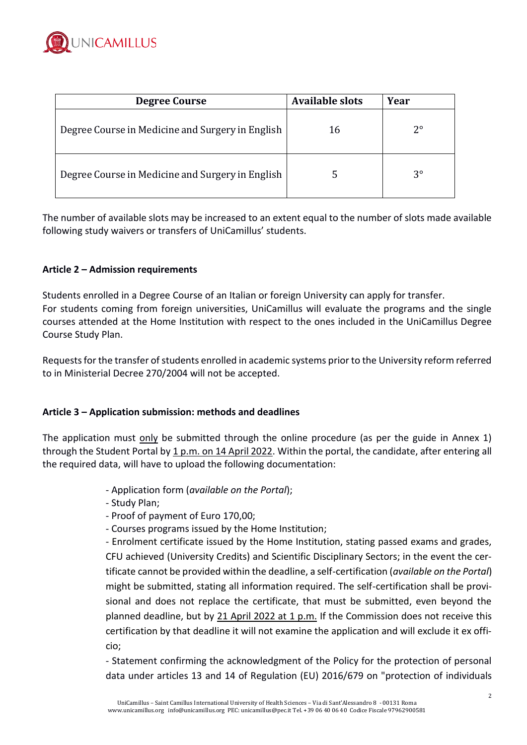

| <b>Degree Course</b>                             | <b>Available slots</b> | Year        |
|--------------------------------------------------|------------------------|-------------|
| Degree Course in Medicine and Surgery in English | 16                     | $2^{\circ}$ |
| Degree Course in Medicine and Surgery in English |                        | $3^{\circ}$ |

The number of available slots may be increased to an extent equal to the number of slots made available following study waivers or transfers of UniCamillus' students.

## **Article 2 – Admission requirements**

Students enrolled in a Degree Course of an Italian or foreign University can apply for transfer. For students coming from foreign universities, UniCamillus will evaluate the programs and the single courses attended at the Home Institution with respect to the ones included in the UniCamillus Degree Course Study Plan.

Requests for the transfer of students enrolled in academic systems prior to the University reform referred to in Ministerial Decree 270/2004 will not be accepted.

### **Article 3 – Application submission: methods and deadlines**

The application must only be submitted through the online procedure (as per the guide in Annex 1) through the Student Portal by 1 p.m. on 14 April 2022. Within the portal, the candidate, after entering all the required data, will have to upload the following documentation:

- Application form (*available on the Portal*);
- Study Plan;
- Proof of payment of Euro 170,00;
- Courses programs issued by the Home Institution;

- Enrolment certificate issued by the Home Institution, stating passed exams and grades, CFU achieved (University Credits) and Scientific Disciplinary Sectors; in the event the certificate cannot be provided within the deadline, a self-certification (*available on the Portal*) might be submitted, stating all information required. The self-certification shall be provisional and does not replace the certificate, that must be submitted, even beyond the planned deadline, but by 21 April 2022 at 1 p.m. If the Commission does not receive this certification by that deadline it will not examine the application and will exclude it ex officio;

- Statement confirming the acknowledgment of the Policy for the protection of personal data under articles 13 and 14 of Regulation (EU) 2016/679 on "protection of individuals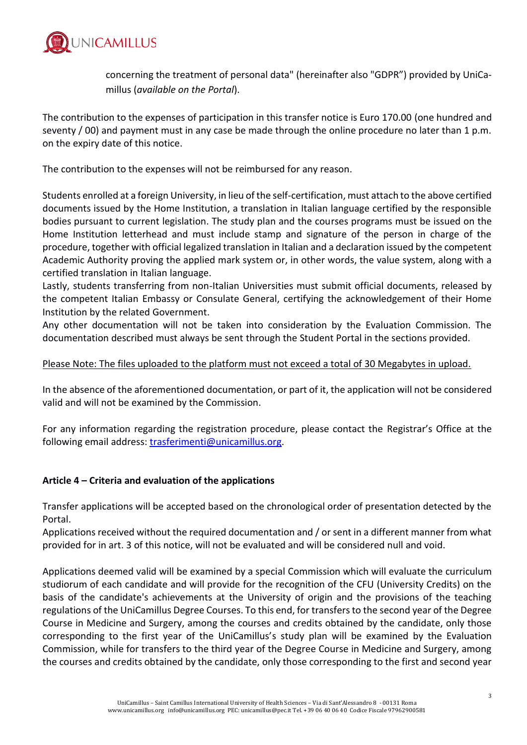

concerning the treatment of personal data" (hereinafter also "GDPR") provided by UniCamillus (*available on the Portal*).

The contribution to the expenses of participation in this transfer notice is Euro 170.00 (one hundred and seventy / 00) and payment must in any case be made through the online procedure no later than 1 p.m. on the expiry date of this notice.

The contribution to the expenses will not be reimbursed for any reason.

Students enrolled at a foreign University, in lieu of the self-certification, must attach to the above certified documents issued by the Home Institution, a translation in Italian language certified by the responsible bodies pursuant to current legislation. The study plan and the courses programs must be issued on the Home Institution letterhead and must include stamp and signature of the person in charge of the procedure, together with official legalized translation in Italian and a declaration issued by the competent Academic Authority proving the applied mark system or, in other words, the value system, along with a certified translation in Italian language.

Lastly, students transferring from non-Italian Universities must submit official documents, released by the competent Italian Embassy or Consulate General, certifying the acknowledgement of their Home Institution by the related Government.

Any other documentation will not be taken into consideration by the Evaluation Commission. The documentation described must always be sent through the Student Portal in the sections provided.

## Please Note: The files uploaded to the platform must not exceed a total of 30 Megabytes in upload.

In the absence of the aforementioned documentation, or part of it, the application will not be considered valid and will not be examined by the Commission.

For any information regarding the registration procedure, please contact the Registrar's Office at the following email address: [trasferimenti@unicamillus.org.](mailto:trasferimenti@unicamillus.org)

# **Article 4 – Criteria and evaluation of the applications**

Transfer applications will be accepted based on the chronological order of presentation detected by the Portal.

Applications received without the required documentation and / or sent in a different manner from what provided for in art. 3 of this notice, will not be evaluated and will be considered null and void.

Applications deemed valid will be examined by a special Commission which will evaluate the curriculum studiorum of each candidate and will provide for the recognition of the CFU (University Credits) on the basis of the candidate's achievements at the University of origin and the provisions of the teaching regulations of the UniCamillus Degree Courses. To this end, for transfers to the second year of the Degree Course in Medicine and Surgery, among the courses and credits obtained by the candidate, only those corresponding to the first year of the UniCamillus's study plan will be examined by the Evaluation Commission, while for transfers to the third year of the Degree Course in Medicine and Surgery, among the courses and credits obtained by the candidate, only those corresponding to the first and second year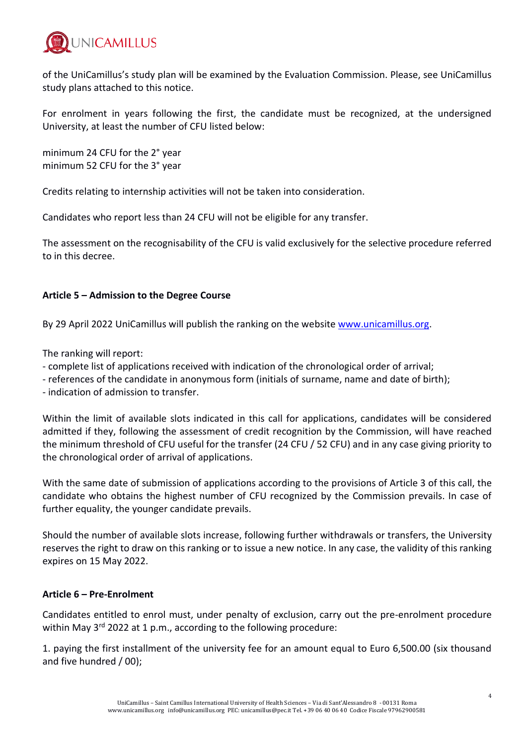

of the UniCamillus's study plan will be examined by the Evaluation Commission. Please, see UniCamillus study plans attached to this notice.

For enrolment in years following the first, the candidate must be recognized, at the undersigned University, at least the number of CFU listed below:

minimum 24 CFU for the 2° year minimum 52 CFU for the 3° year

Credits relating to internship activities will not be taken into consideration.

Candidates who report less than 24 CFU will not be eligible for any transfer.

The assessment on the recognisability of the CFU is valid exclusively for the selective procedure referred to in this decree.

# **Article 5 – Admission to the Degree Course**

By 29 April 2022 UniCamillus will publish the ranking on the website [www.unicamillus.org.](http://www.unicamillus.org/)

The ranking will report:

- complete list of applications received with indication of the chronological order of arrival;
- references of the candidate in anonymous form (initials of surname, name and date of birth);

- indication of admission to transfer.

Within the limit of available slots indicated in this call for applications, candidates will be considered admitted if they, following the assessment of credit recognition by the Commission, will have reached the minimum threshold of CFU useful for the transfer (24 CFU / 52 CFU) and in any case giving priority to the chronological order of arrival of applications.

With the same date of submission of applications according to the provisions of Article 3 of this call, the candidate who obtains the highest number of CFU recognized by the Commission prevails. In case of further equality, the younger candidate prevails.

Should the number of available slots increase, following further withdrawals or transfers, the University reserves the right to draw on this ranking or to issue a new notice. In any case, the validity of this ranking expires on 15 May 2022.

### **Article 6 – Pre-Enrolment**

Candidates entitled to enrol must, under penalty of exclusion, carry out the pre-enrolment procedure within May 3<sup>rd</sup> 2022 at 1 p.m., according to the following procedure:

1. paying the first installment of the university fee for an amount equal to Euro 6,500.00 (six thousand and five hundred / 00);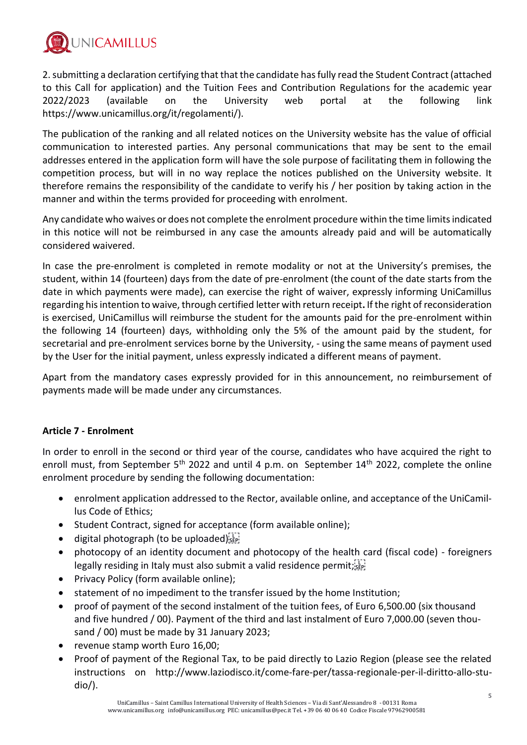

2. submitting a declaration certifying that that the candidate has fully read the Student Contract (attached to this Call for application) and the Tuition Fees and Contribution Regulations for the academic year 2022/2023 (available on the University web portal at the following link https://www.unicamillus.org/it/regolamenti/).

The publication of the ranking and all related notices on the University website has the value of official communication to interested parties. Any personal communications that may be sent to the email addresses entered in the application form will have the sole purpose of facilitating them in following the competition process, but will in no way replace the notices published on the University website. It therefore remains the responsibility of the candidate to verify his / her position by taking action in the manner and within the terms provided for proceeding with enrolment.

Any candidate who waives or does not complete the enrolment procedure within the time limits indicated in this notice will not be reimbursed in any case the amounts already paid and will be automatically considered waivered.

In case the pre-enrolment is completed in remote modality or not at the University's premises, the student, within 14 (fourteen) days from the date of pre-enrolment (the count of the date starts from the date in which payments were made), can exercise the right of waiver, expressly informing UniCamillus regarding his intention to waive, through certified letter with return receipt**.** If the right of reconsideration is exercised, UniCamillus will reimburse the student for the amounts paid for the pre-enrolment within the following 14 (fourteen) days, withholding only the 5% of the amount paid by the student, for secretarial and pre-enrolment services borne by the University, - using the same means of payment used by the User for the initial payment, unless expressly indicated a different means of payment.

Apart from the mandatory cases expressly provided for in this announcement, no reimbursement of payments made will be made under any circumstances.

# **Article 7 - Enrolment**

In order to enroll in the second or third year of the course, candidates who have acquired the right to enroll must, from September 5<sup>th</sup> 2022 and until 4 p.m. on September 14<sup>th</sup> 2022, complete the online enrolment procedure by sending the following documentation:

- enrolment application addressed to the Rector, available online, and acceptance of the UniCamillus Code of Ethics;
- Student Contract, signed for acceptance (form available online);
- digital photograph (to be uploaded) $\frac{1}{15}$
- photocopy of an identity document and photocopy of the health card (fiscal code) foreigners legally residing in Italy must also submit a valid residence permit;  $\sum_{s \in \mathbb{N}}$
- Privacy Policy (form available online);
- statement of no impediment to the transfer issued by the home Institution;
- proof of payment of the second instalment of the tuition fees, of Euro 6,500.00 (six thousand and five hundred / 00). Payment of the third and last instalment of Euro 7,000.00 (seven thousand / 00) must be made by 31 January 2023;
- revenue stamp worth Euro 16,00;
- Proof of payment of the Regional Tax, to be paid directly to Lazio Region (please see the related instructions on http://www.laziodisco.it/come-fare-per/tassa-regionale-per-il-diritto-allo-studio/).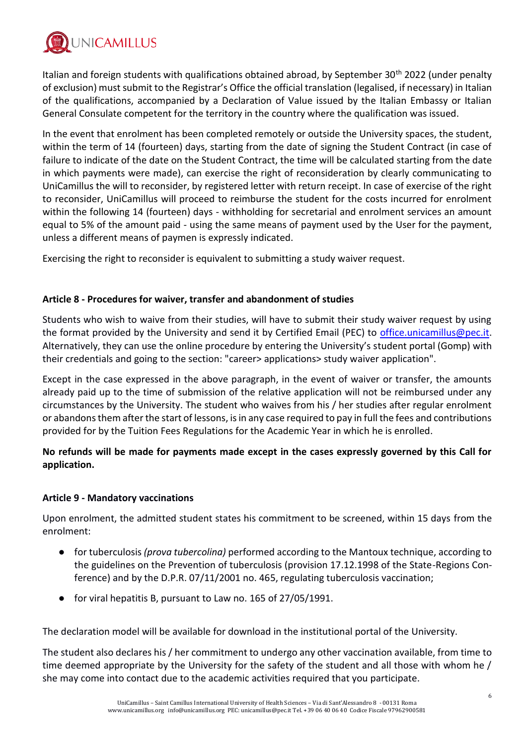

Italian and foreign students with qualifications obtained abroad, by September 30<sup>th</sup> 2022 (under penalty of exclusion) must submit to the Registrar's Office the official translation (legalised, if necessary) in Italian of the qualifications, accompanied by a Declaration of Value issued by the Italian Embassy or Italian General Consulate competent for the territory in the country where the qualification was issued.

In the event that enrolment has been completed remotely or outside the University spaces, the student, within the term of 14 (fourteen) days, starting from the date of signing the Student Contract (in case of failure to indicate of the date on the Student Contract, the time will be calculated starting from the date in which payments were made), can exercise the right of reconsideration by clearly communicating to UniCamillus the will to reconsider, by registered letter with return receipt. In case of exercise of the right to reconsider, UniCamillus will proceed to reimburse the student for the costs incurred for enrolment within the following 14 (fourteen) days - withholding for secretarial and enrolment services an amount equal to 5% of the amount paid - using the same means of payment used by the User for the payment, unless a different means of paymen is expressly indicated.

Exercising the right to reconsider is equivalent to submitting a study waiver request.

## **Article 8 - Procedures for waiver, transfer and abandonment of studies**

Students who wish to waive from their studies, will have to submit their study waiver request by using the format provided by the University and send it by Certified Email (PEC) to [office.unicamillus@pec.it.](mailto:office.unicamillus@pec.it) Alternatively, they can use the online procedure by entering the University's student portal (Gomp) with their credentials and going to the section: "career> applications> study waiver application".

Except in the case expressed in the above paragraph, in the event of waiver or transfer, the amounts already paid up to the time of submission of the relative application will not be reimbursed under any circumstances by the University. The student who waives from his / her studies after regular enrolment or abandons them after the start of lessons, is in any case required to pay in full the fees and contributions provided for by the Tuition Fees Regulations for the Academic Year in which he is enrolled.

**No refunds will be made for payments made except in the cases expressly governed by this Call for application.**

### **Article 9 - Mandatory vaccinations**

Upon enrolment, the admitted student states his commitment to be screened, within 15 days from the enrolment:

- for tuberculosis *(prova tubercolina)* performed according to the Mantoux technique, according to the guidelines on the Prevention of tuberculosis (provision 17.12.1998 of the State-Regions Conference) and by the D.P.R. 07/11/2001 no. 465, regulating tuberculosis vaccination;
- for viral hepatitis B, pursuant to Law no. 165 of 27/05/1991.

The declaration model will be available for download in the institutional portal of the University.

The student also declares his / her commitment to undergo any other vaccination available, from time to time deemed appropriate by the University for the safety of the student and all those with whom he / she may come into contact due to the academic activities required that you participate.